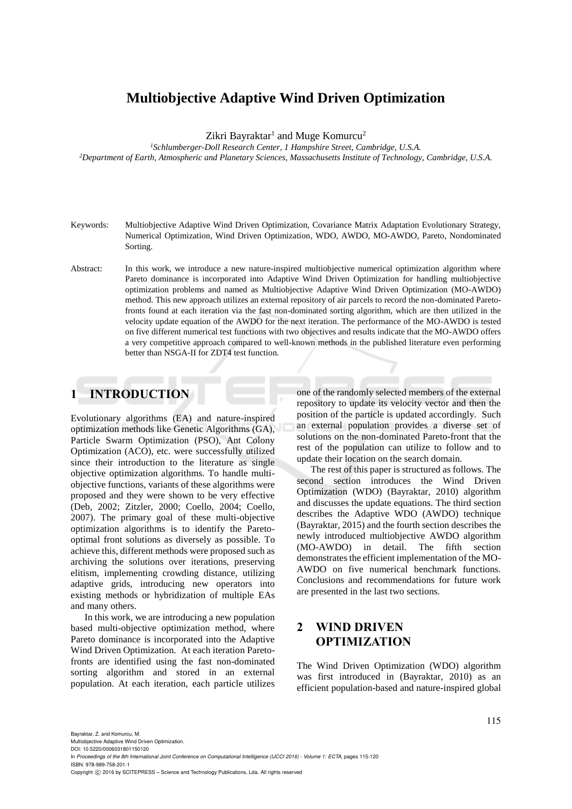# **Multiobjective Adaptive Wind Driven Optimization**

Zikri Bayraktar<sup>1</sup> and Muge Komurcu<sup>2</sup>

*<sup>1</sup>Schlumberger-Doll Research Center, 1 Hampshire Street, Cambridge, U.S.A. <sup>2</sup>Department of Earth, Atmospheric and Planetary Sciences, Massachusetts Institute of Technology, Cambridge, U.S.A.* 

- Keywords: Multiobjective Adaptive Wind Driven Optimization, Covariance Matrix Adaptation Evolutionary Strategy, Numerical Optimization, Wind Driven Optimization, WDO, AWDO, MO-AWDO, Pareto, Nondominated Sorting.
- Abstract: In this work, we introduce a new nature-inspired multiobjective numerical optimization algorithm where Pareto dominance is incorporated into Adaptive Wind Driven Optimization for handling multiobjective optimization problems and named as Multiobjective Adaptive Wind Driven Optimization (MO-AWDO) method. This new approach utilizes an external repository of air parcels to record the non-dominated Paretofronts found at each iteration via the fast non-dominated sorting algorithm, which are then utilized in the velocity update equation of the AWDO for the next iteration. The performance of the MO-AWDO is tested on five different numerical test functions with two objectives and results indicate that the MO-AWDO offers a very competitive approach compared to well-known methods in the published literature even performing better than NSGA-II for ZDT4 test function.

# **1 INTRODUCTION**

Evolutionary algorithms (EA) and nature-inspired optimization methods like Genetic Algorithms (GA), Particle Swarm Optimization (PSO), Ant Colony Optimization (ACO), etc. were successfully utilized since their introduction to the literature as single objective optimization algorithms. To handle multiobjective functions, variants of these algorithms were proposed and they were shown to be very effective (Deb, 2002; Zitzler, 2000; Coello, 2004; Coello, 2007). The primary goal of these multi-objective optimization algorithms is to identify the Paretooptimal front solutions as diversely as possible. To achieve this, different methods were proposed such as archiving the solutions over iterations, preserving elitism, implementing crowding distance, utilizing adaptive grids, introducing new operators into existing methods or hybridization of multiple EAs and many others.

In this work, we are introducing a new population based multi-objective optimization method, where Pareto dominance is incorporated into the Adaptive Wind Driven Optimization. At each iteration Paretofronts are identified using the fast non-dominated sorting algorithm and stored in an external population. At each iteration, each particle utilizes

one of the randomly selected members of the external repository to update its velocity vector and then the position of the particle is updated accordingly. Such an external population provides a diverse set of solutions on the non-dominated Pareto-front that the rest of the population can utilize to follow and to update their location on the search domain.

The rest of this paper is structured as follows. The second section introduces the Wind Driven Optimization (WDO) (Bayraktar, 2010) algorithm and discusses the update equations. The third section describes the Adaptive WDO (AWDO) technique (Bayraktar, 2015) and the fourth section describes the newly introduced multiobjective AWDO algorithm (MO-AWDO) in detail. The fifth section demonstrates the efficient implementation of the MO-AWDO on five numerical benchmark functions. Conclusions and recommendations for future work are presented in the last two sections.

# **2 WIND DRIVEN OPTIMIZATION**

The Wind Driven Optimization (WDO) algorithm was first introduced in (Bayraktar, 2010) as an efficient population-based and nature-inspired global

Multiobjective Adaptive Wind Driven Optimization.

DOI: 10.5220/0006031801150120 In *Proceedings of the 8th International Joint Conference on Computational Intelligence (IJCCI 2016) - Volume 1: ECTA*, pages 115-120 ISBN: 978-989-758-201-1

Copyright (C) 2016 by SCITEPRESS - Science and Technology Publications, Lda. All rights reserved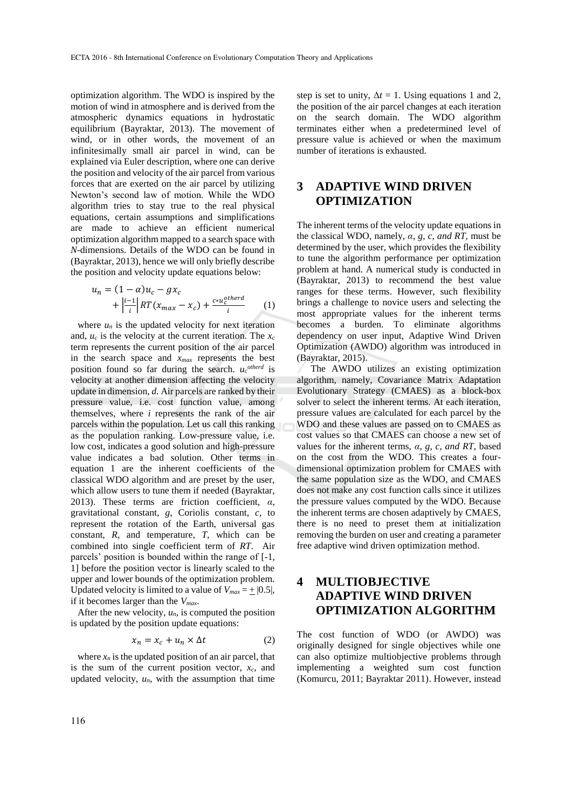optimization algorithm. The WDO is inspired by the motion of wind in atmosphere and is derived from the atmospheric dynamics equations in hydrostatic equilibrium (Bayraktar, 2013). The movement of wind, or in other words, the movement of an infinitesimally small air parcel in wind, can be explained via Euler description, where one can derive the position and velocity of the air parcel from various forces that are exerted on the air parcel by utilizing Newton's second law of motion. While the WDO algorithm tries to stay true to the real physical equations, certain assumptions and simplifications are made to achieve an efficient numerical optimization algorithm mapped to a search space with *N*-dimensions. Details of the WDO can be found in (Bayraktar, 2013), hence we will only briefly describe the position and velocity update equations below:

$$
u_n = (1 - \alpha)u_c - gx_c
$$
  
+ 
$$
\left| \frac{i-1}{i} \right| RT(x_{max} - x_c) + \frac{c * u_c^{otherd}}{i}
$$
 (1)

where  $u_n$  is the updated velocity for next iteration and, *u<sup>c</sup>* is the velocity at the current iteration. The *x<sup>c</sup>* term represents the current position of the air parcel in the search space and *xmax* represents the best position found so far during the search.  $u_c^{otherd}$  is velocity at another dimension affecting the velocity update in dimension, *d.* Air parcels are ranked by their pressure value, i.e. cost function value, among themselves, where *i* represents the rank of the air parcels within the population. Let us call this ranking as the population ranking. Low-pressure value, i.e. low cost, indicates a good solution and high-pressure value indicates a bad solution. Other terms in equation 1 are the inherent coefficients of the classical WDO algorithm and are preset by the user, which allow users to tune them if needed (Bayraktar, 2013). These terms are friction coefficient, *α*, gravitational constant, *g*, Coriolis constant, *c,* to represent the rotation of the Earth, universal gas constant, *R*, and temperature, *T*, which can be combined into single coefficient term of *RT*. Air parcels' position is bounded within the range of [-1, 1] before the position vector is linearly scaled to the upper and lower bounds of the optimization problem. Updated velocity is limited to a value of  $V_{max} = + [0.5]$ , if it becomes larger than the *Vmax*.

After the new velocity,  $u_n$ , is computed the position is updated by the position update equations:

$$
x_n = x_c + u_n \times \Delta t \tag{2}
$$

where  $x_n$  is the updated position of an air parcel, that is the sum of the current position vector,  $x_c$ , and updated velocity,  $u_n$ , with the assumption that time

step is set to unity,  $\Delta t = 1$ . Using equations 1 and 2, the position of the air parcel changes at each iteration on the search domain. The WDO algorithm terminates either when a predetermined level of pressure value is achieved or when the maximum number of iterations is exhausted.

## **3 ADAPTIVE WIND DRIVEN OPTIMIZATION**

The inherent terms of the velocity update equations in the classical WDO, namely, *α*, *g*, *c, and RT*, must be determined by the user, which provides the flexibility to tune the algorithm performance per optimization problem at hand. A numerical study is conducted in (Bayraktar, 2013) to recommend the best value ranges for these terms. However, such flexibility brings a challenge to novice users and selecting the most appropriate values for the inherent terms becomes a burden. To eliminate algorithms dependency on user input, Adaptive Wind Driven Optimization (AWDO) algorithm was introduced in (Bayraktar, 2015).

The AWDO utilizes an existing optimization algorithm, namely, Covariance Matrix Adaptation Evolutionary Strategy (CMAES) as a block-box solver to select the inherent terms. At each iteration, pressure values are calculated for each parcel by the WDO and these values are passed on to CMAES as cost values so that CMAES can choose a new set of values for the inherent terms, *α*, *g*, *c, and RT*, based on the cost from the WDO. This creates a fourdimensional optimization problem for CMAES with the same population size as the WDO, and CMAES does not make any cost function calls since it utilizes the pressure values computed by the WDO. Because the inherent terms are chosen adaptively by CMAES, there is no need to preset them at initialization removing the burden on user and creating a parameter free adaptive wind driven optimization method.

# **4 MULTIOBJECTIVE ADAPTIVE WIND DRIVEN OPTIMIZATION ALGORITHM**

The cost function of WDO (or AWDO) was originally designed for single objectives while one can also optimize multiobjective problems through implementing a weighted sum cost function (Komurcu, 2011; Bayraktar 2011). However, instead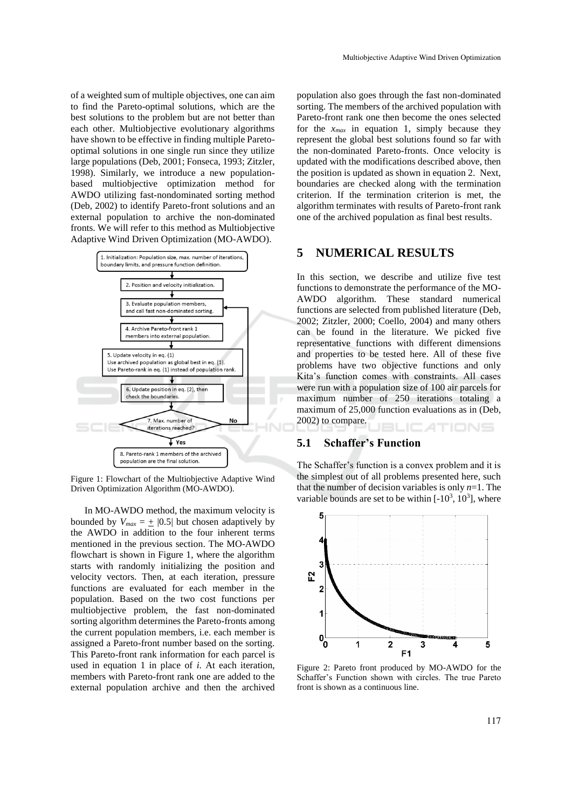of a weighted sum of multiple objectives, one can aim to find the Pareto-optimal solutions, which are the best solutions to the problem but are not better than each other. Multiobjective evolutionary algorithms have shown to be effective in finding multiple Paretooptimal solutions in one single run since they utilize large populations (Deb, 2001; Fonseca, 1993; Zitzler, 1998). Similarly, we introduce a new populationbased multiobjective optimization method for AWDO utilizing fast-nondominated sorting method (Deb, 2002) to identify Pareto-front solutions and an external population to archive the non-dominated fronts. We will refer to this method as Multiobjective Adaptive Wind Driven Optimization (MO-AWDO).



Figure 1: Flowchart of the Multiobjective Adaptive Wind Driven Optimization Algorithm (MO-AWDO).

In MO-AWDO method, the maximum velocity is bounded by  $V_{max} = \pm |0.5|$  but chosen adaptively by the AWDO in addition to the four inherent terms mentioned in the previous section. The MO-AWDO flowchart is shown in Figure 1, where the algorithm starts with randomly initializing the position and velocity vectors. Then, at each iteration, pressure functions are evaluated for each member in the population. Based on the two cost functions per multiobjective problem, the fast non-dominated sorting algorithm determines the Pareto-fronts among the current population members, i.e. each member is assigned a Pareto-front number based on the sorting. This Pareto-front rank information for each parcel is used in equation 1 in place of *i*. At each iteration, members with Pareto-front rank one are added to the external population archive and then the archived

population also goes through the fast non-dominated sorting. The members of the archived population with Pareto-front rank one then become the ones selected for the  $x_{max}$  in equation 1, simply because they represent the global best solutions found so far with the non-dominated Pareto-fronts. Once velocity is updated with the modifications described above, then the position is updated as shown in equation 2. Next, boundaries are checked along with the termination criterion. If the termination criterion is met, the algorithm terminates with results of Pareto-front rank one of the archived population as final best results.

### **5 NUMERICAL RESULTS**

In this section, we describe and utilize five test functions to demonstrate the performance of the MO-AWDO algorithm. These standard numerical functions are selected from published literature (Deb, 2002; Zitzler, 2000; Coello, 2004) and many others can be found in the literature. We picked five representative functions with different dimensions and properties to be tested here. All of these five problems have two objective functions and only Kita's function comes with constraints. All cases were run with a population size of 100 air parcels for maximum number of 250 iterations totaling a maximum of 25,000 function evaluations as in (Deb, 2002) to compare. ATIONS

#### **5.1 Schaffer's Function**

The Schaffer's function is a convex problem and it is the simplest out of all problems presented here, such that the number of decision variables is only  $n=1$ . The variable bounds are set to be within  $[-10^3, 10^3]$ , where



Figure 2: Pareto front produced by MO-AWDO for the Schaffer's Function shown with circles. The true Pareto front is shown as a continuous line.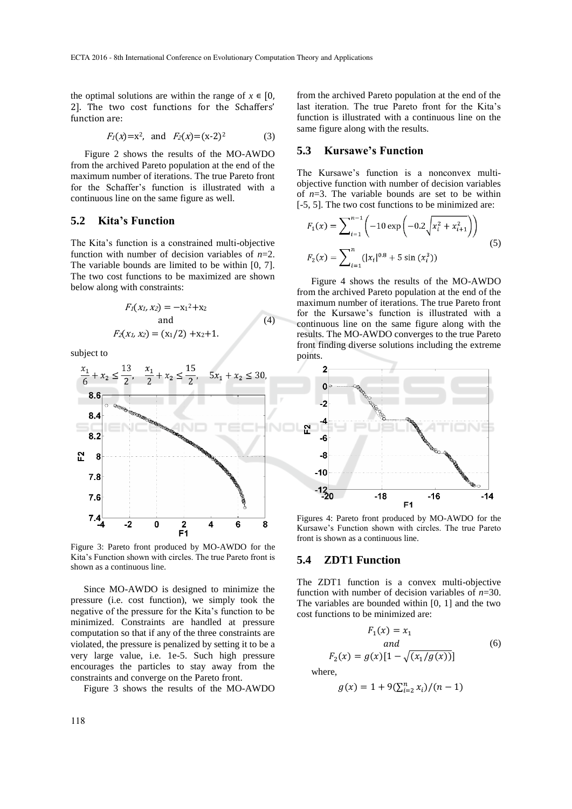the optimal solutions are within the range of  $x \in [0, 1]$ 2]. The two cost functions for the Schaffers' function are:

$$
F_1(x)=x^2
$$
, and  $F_2(x)=(x-2)^2$  (3)

Figure 2 shows the results of the MO-AWDO from the archived Pareto population at the end of the maximum number of iterations. The true Pareto front for the Schaffer's function is illustrated with a continuous line on the same figure as well.

### **5.2 Kita's Function**

The Kita's function is a constrained multi-objective function with number of decision variables of *n*=2. The variable bounds are limited to be within [0, 7]. The two cost functions to be maximized are shown below along with constraints:

$$
F_1(x_1, x_2) = -x_1^2 + x_2
$$
  
and  

$$
F_2(x_1, x_2) = (x_1/2) + x_2 + 1.
$$
 (4)

subject to



Figure 3: Pareto front produced by MO-AWDO for the Kita's Function shown with circles. The true Pareto front is shown as a continuous line.

Since MO-AWDO is designed to minimize the pressure (i.e. cost function), we simply took the negative of the pressure for the Kita's function to be minimized. Constraints are handled at pressure computation so that if any of the three constraints are violated, the pressure is penalized by setting it to be a very large value, i.e. 1e-5. Such high pressure encourages the particles to stay away from the constraints and converge on the Pareto front.

Figure 3 shows the results of the MO-AWDO

from the archived Pareto population at the end of the last iteration. The true Pareto front for the Kita's function is illustrated with a continuous line on the same figure along with the results.

#### **5.3 Kursawe's Function**

The Kursawe's function is a nonconvex multiobjective function with number of decision variables of *n*=3. The variable bounds are set to be within [-5, 5]. The two cost functions to be minimized are:

$$
F_1(x) = \sum_{i=1}^{n-1} \left( -10 \exp\left( -0.2\sqrt{x_i^2 + x_{i+1}^2} \right) \right)
$$
  
\n
$$
F_2(x) = \sum_{i=1}^{n} (|x_i|^{0.8} + 5 \sin(x_i^3))
$$
\n(5)

Figure 4 shows the results of the MO-AWDO from the archived Pareto population at the end of the maximum number of iterations. The true Pareto front for the Kursawe's function is illustrated with a continuous line on the same figure along with the results. The MO-AWDO converges to the true Pareto front finding diverse solutions including the extreme points.



Figures 4: Pareto front produced by MO-AWDO for the Kursawe's Function shown with circles. The true Pareto front is shown as a continuous line.

#### **5.4 ZDT1 Function**

The ZDT1 function is a convex multi-objective function with number of decision variables of *n*=30. The variables are bounded within [0, 1] and the two cost functions to be minimized are:

$$
F_1(x) = x_1
$$
  
\nand  
\n
$$
F_2(x) = g(x)[1 - \sqrt{(x_1/g(x))}]
$$
\n(6)

where,

$$
g(x) = 1 + 9(\sum_{i=2}^{n} x_i)/(n-1)
$$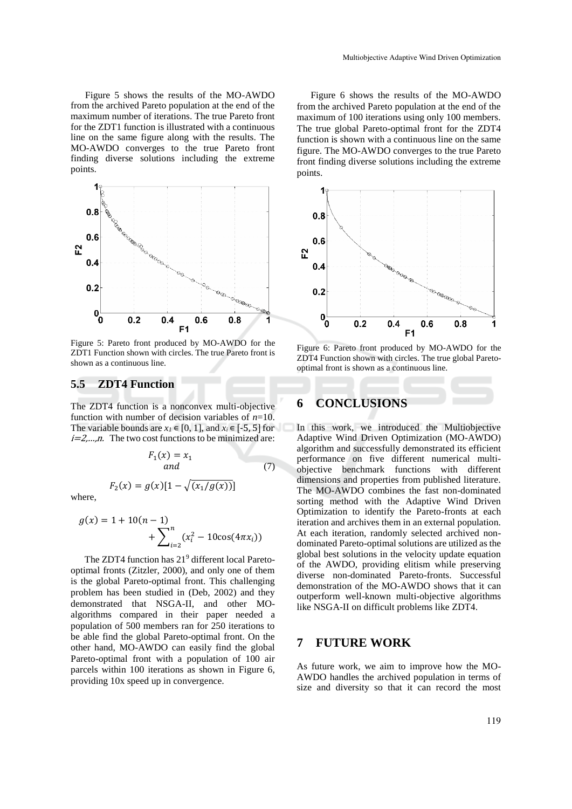Figure 5 shows the results of the MO-AWDO from the archived Pareto population at the end of the maximum number of iterations. The true Pareto front for the ZDT1 function is illustrated with a continuous line on the same figure along with the results. The MO-AWDO converges to the true Pareto front finding diverse solutions including the extreme points.



Figure 5: Pareto front produced by MO-AWDO for the ZDT1 Function shown with circles. The true Pareto front is shown as a continuous line.

## **5.5 ZDT4 Function**

The ZDT4 function is a nonconvex multi-objective function with number of decision variables of *n*=10. The variable bounds are  $x_1 \in [0, 1]$ , and  $x_i \in [-5, 5]$  for  $i=2,...,n$ . The two cost functions to be minimized are:

$$
F_1(x) = x_1
$$
  
and (7)

where,

$$
g(x) = 1 + 10(n - 1) + \sum_{i=2}^{n} (x_i^2 - 10\cos(4\pi x_i))
$$

 $F_2(x) = g(x)[1 - \sqrt{(x_1/g(x))}]$ 

The ZDT4 function has 21<sup>9</sup> different local Paretooptimal fronts (Zitzler, 2000), and only one of them is the global Pareto-optimal front. This challenging problem has been studied in (Deb, 2002) and they demonstrated that NSGA-II, and other MOalgorithms compared in their paper needed a population of 500 members ran for 250 iterations to be able find the global Pareto-optimal front. On the other hand, MO-AWDO can easily find the global Pareto-optimal front with a population of 100 air parcels within 100 iterations as shown in Figure 6, providing 10x speed up in convergence.

Figure 6 shows the results of the MO-AWDO from the archived Pareto population at the end of the maximum of 100 iterations using only 100 members. The true global Pareto-optimal front for the ZDT4 function is shown with a continuous line on the same figure. The MO-AWDO converges to the true Pareto front finding diverse solutions including the extreme points.



Figure 6: Pareto front produced by MO-AWDO for the ZDT4 Function shown with circles. The true global Paretooptimal front is shown as a continuous line.

## **6 CONCLUSIONS**

In this work, we introduced the Multiobjective Adaptive Wind Driven Optimization (MO-AWDO) algorithm and successfully demonstrated its efficient performance on five different numerical multiobjective benchmark functions with different dimensions and properties from published literature. The MO-AWDO combines the fast non-dominated sorting method with the Adaptive Wind Driven Optimization to identify the Pareto-fronts at each iteration and archives them in an external population. At each iteration, randomly selected archived nondominated Pareto-optimal solutions are utilized as the global best solutions in the velocity update equation of the AWDO, providing elitism while preserving diverse non-dominated Pareto-fronts. Successful demonstration of the MO-AWDO shows that it can outperform well-known multi-objective algorithms like NSGA-II on difficult problems like ZDT4.

### **7 FUTURE WORK**

As future work, we aim to improve how the MO-AWDO handles the archived population in terms of size and diversity so that it can record the most